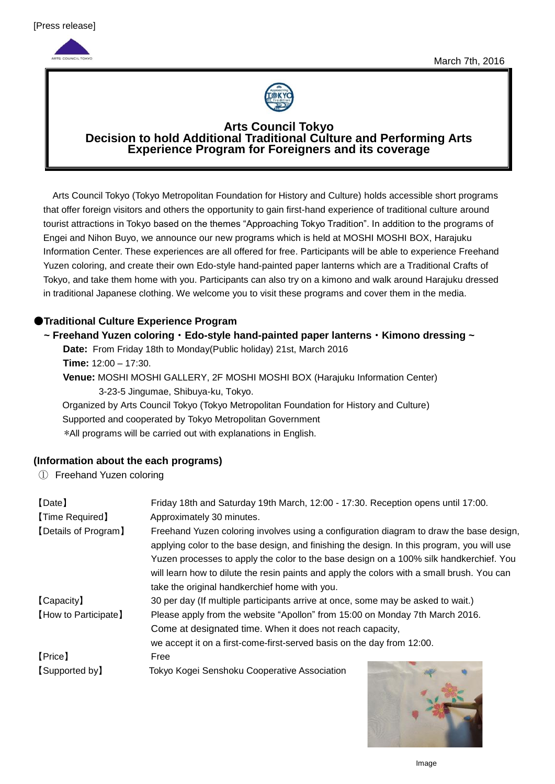



### **Arts Council Tokyo Decision to hold Additional Traditional Culture and Performing Arts Experience Program for Foreigners and its coverage**

Arts Council Tokyo (Tokyo Metropolitan Foundation for History and Culture) holds accessible short programs that offer foreign visitors and others the opportunity to gain first-hand experience of traditional culture around tourist attractions in Tokyo based on the themes "Approaching Tokyo Tradition". In addition to the programs of Engei and Nihon Buyo, we announce our new programs which is held at MOSHI MOSHI BOX, Harajuku Information Center. These experiences are all offered for free. Participants will be able to experience Freehand Yuzen coloring, and create their own Edo-style hand-painted paper lanterns which are a Traditional Crafts of Tokyo, and take them home with you. Participants can also try on a kimono and walk around Harajuku dressed in traditional Japanese clothing. We welcome you to visit these programs and cover them in the media.

## ●**Traditional Culture Experience Program**

### **~ Freehand Yuzen coloring**・**Edo-style hand-painted paper lanterns**・**Kimono dressing ~**

**Date:** From Friday 18th to Monday(Public holiday) 21st, March 2016 **Time:** 12:00 – 17:30.

**Venue:** MOSHI MOSHI GALLERY, 2F MOSHI MOSHI BOX (Harajuku Information Center) 3-23-5 Jingumae, Shibuya-ku, Tokyo.

Organized by Arts Council Tokyo (Tokyo Metropolitan Foundation for History and Culture) Supported and cooperated by Tokyo Metropolitan Government \*All programs will be carried out with explanations in English.

### **(Information about the each programs)**

① Freehand Yuzen coloring

| [Date]<br>[Time Required] | Friday 18th and Saturday 19th March, 12:00 - 17:30. Reception opens until 17:00.<br>Approximately 30 minutes.                                                                                                                                                                                                                                                                                                                  |  |  |  |
|---------------------------|--------------------------------------------------------------------------------------------------------------------------------------------------------------------------------------------------------------------------------------------------------------------------------------------------------------------------------------------------------------------------------------------------------------------------------|--|--|--|
| [Details of Program]      | Freehand Yuzen coloring involves using a configuration diagram to draw the base design,<br>applying color to the base design, and finishing the design. In this program, you will use<br>Yuzen processes to apply the color to the base design on a 100% silk handkerchief. You<br>will learn how to dilute the resin paints and apply the colors with a small brush. You can<br>take the original handkerchief home with you. |  |  |  |
| [Capacity]                | 30 per day (If multiple participants arrive at once, some may be asked to wait.)                                                                                                                                                                                                                                                                                                                                               |  |  |  |
| [How to Participate]      | Please apply from the website "Apollon" from 15:00 on Monday 7th March 2016.                                                                                                                                                                                                                                                                                                                                                   |  |  |  |
|                           | Come at designated time. When it does not reach capacity,                                                                                                                                                                                                                                                                                                                                                                      |  |  |  |
|                           | we accept it on a first-come-first-served basis on the day from 12:00.                                                                                                                                                                                                                                                                                                                                                         |  |  |  |
| [Price]                   | Free                                                                                                                                                                                                                                                                                                                                                                                                                           |  |  |  |
| [Supported by]            | Tokyo Kogei Senshoku Cooperative Association                                                                                                                                                                                                                                                                                                                                                                                   |  |  |  |

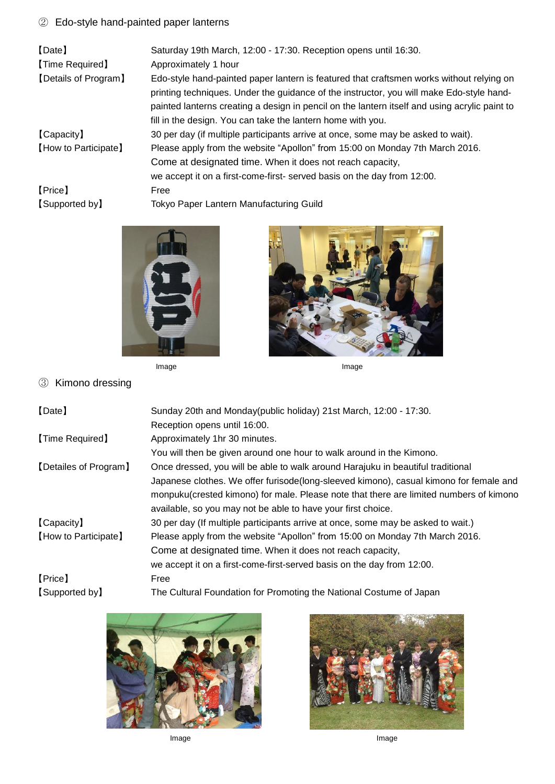# ② Edo-style hand-painted paper lanterns

| [Date]<br>[Time Required] | Saturday 19th March, 12:00 - 17:30. Reception opens until 16:30.<br>Approximately 1 hour                                                                                                                                                                                              |
|---------------------------|---------------------------------------------------------------------------------------------------------------------------------------------------------------------------------------------------------------------------------------------------------------------------------------|
| [Details of Program]      | Edo-style hand-painted paper lantern is featured that craftsmen works without relying on<br>printing techniques. Under the guidance of the instructor, you will make Edo-style hand-<br>painted lanterns creating a design in pencil on the lantern itself and using acrylic paint to |
|                           | fill in the design. You can take the lantern home with you.                                                                                                                                                                                                                           |
| [Capacity]                | 30 per day (if multiple participants arrive at once, some may be asked to wait).                                                                                                                                                                                                      |
| [How to Participate]      | Please apply from the website "Apollon" from 15:00 on Monday 7th March 2016.                                                                                                                                                                                                          |
|                           | Come at designated time. When it does not reach capacity,                                                                                                                                                                                                                             |
|                           | we accept it on a first-come-first- served basis on the day from 12:00.                                                                                                                                                                                                               |
| [Price]                   | Free                                                                                                                                                                                                                                                                                  |
| [Supported by]            | <b>Tokyo Paper Lantern Manufacturing Guild</b>                                                                                                                                                                                                                                        |





③ Kimono dressing

| [Date]                | Sunday 20th and Monday(public holiday) 21st March, 12:00 - 17:30.                      |
|-----------------------|----------------------------------------------------------------------------------------|
|                       | Reception opens until 16:00.                                                           |
| [Time Required]       | Approximately 1hr 30 minutes.                                                          |
|                       | You will then be given around one hour to walk around in the Kimono.                   |
| [Detailes of Program] | Once dressed, you will be able to walk around Harajuku in beautiful traditional        |
|                       | Japanese clothes. We offer furisode(long-sleeved kimono), casual kimono for female and |
|                       | monpuku(crested kimono) for male. Please note that there are limited numbers of kimono |
|                       | available, so you may not be able to have your first choice.                           |
| [Capacity]            | 30 per day (If multiple participants arrive at once, some may be asked to wait.)       |
| [How to Participate]  | Please apply from the website "Apollon" from 15:00 on Monday 7th March 2016.           |
|                       | Come at designated time. When it does not reach capacity,                              |
|                       | we accept it on a first-come-first-served basis on the day from 12:00.                 |
| [Price]               | Free                                                                                   |
| [Supported by]        | The Cultural Foundation for Promoting the National Costume of Japan                    |